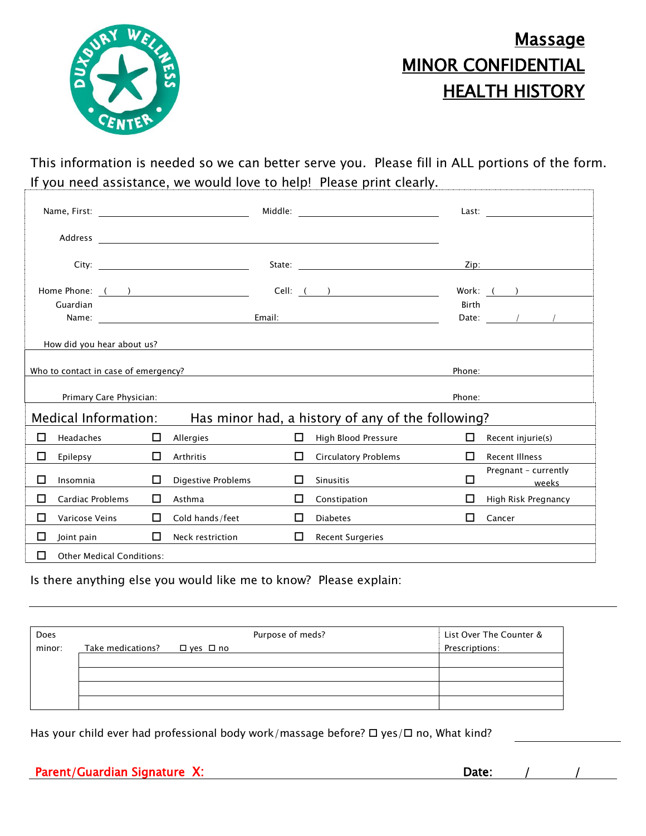

## **Massage** MINOR CONFIDENTIAL **HEALTH HISTORY**

This information is needed so we can better serve you. Please fill in ALL portions of the form. If you need assistance, we would love to help! Please print clearly. H.

|                                                                                                                       |                            |    |                                                                                                                                                                                                                                |    | Last: $\frac{1}{\sqrt{1-\frac{1}{2}}\sqrt{1-\frac{1}{2}}\sqrt{1-\frac{1}{2}}\sqrt{1-\frac{1}{2}}\sqrt{1-\frac{1}{2}}\sqrt{1-\frac{1}{2}}\sqrt{1-\frac{1}{2}}\sqrt{1-\frac{1}{2}}\sqrt{1-\frac{1}{2}}\sqrt{1-\frac{1}{2}}\sqrt{1-\frac{1}{2}}\sqrt{1-\frac{1}{2}}\sqrt{1-\frac{1}{2}}\sqrt{1-\frac{1}{2}}\sqrt{1-\frac{1}{2}}\sqrt{1-\frac{1}{2}}\sqrt{1-\frac{1}{2}}\sqrt{1-\frac{1}{2}}\sqrt{1-\frac{1}{2}}$ |                                                                                            |                                                 |  |
|-----------------------------------------------------------------------------------------------------------------------|----------------------------|----|--------------------------------------------------------------------------------------------------------------------------------------------------------------------------------------------------------------------------------|----|---------------------------------------------------------------------------------------------------------------------------------------------------------------------------------------------------------------------------------------------------------------------------------------------------------------------------------------------------------------------------------------------------------------|--------------------------------------------------------------------------------------------|-------------------------------------------------|--|
|                                                                                                                       |                            |    |                                                                                                                                                                                                                                |    |                                                                                                                                                                                                                                                                                                                                                                                                               |                                                                                            |                                                 |  |
|                                                                                                                       |                            |    | State: with the contract of the contract of the contract of the contract of the contract of the contract of the contract of the contract of the contract of the contract of the contract of the contract of the contract of th |    |                                                                                                                                                                                                                                                                                                                                                                                                               |                                                                                            | Zip: 2008                                       |  |
| Home Phone: ( )                                                                                                       |                            |    |                                                                                                                                                                                                                                |    | Cell: ( )                                                                                                                                                                                                                                                                                                                                                                                                     |                                                                                            | Work: $($ )                                     |  |
| Guardian                                                                                                              |                            |    |                                                                                                                                                                                                                                |    | <b>Birth</b>                                                                                                                                                                                                                                                                                                                                                                                                  | Date: $\frac{1}{\sqrt{1-\frac{1}{2}}}\left\vert \frac{1}{\sqrt{1-\frac{1}{2}}}\right\vert$ |                                                 |  |
|                                                                                                                       | How did you hear about us? |    |                                                                                                                                                                                                                                |    |                                                                                                                                                                                                                                                                                                                                                                                                               |                                                                                            |                                                 |  |
| Who to contact in case of emergency?<br>Phone:<br><u> 1980 - Andrea Station Barbara, amerikan personal (h. 1980).</u> |                            |    |                                                                                                                                                                                                                                |    |                                                                                                                                                                                                                                                                                                                                                                                                               |                                                                                            |                                                 |  |
| Primary Care Physician:<br>Phone:                                                                                     |                            |    |                                                                                                                                                                                                                                |    |                                                                                                                                                                                                                                                                                                                                                                                                               |                                                                                            |                                                 |  |
| <b>Medical Information:</b><br>Has minor had, a history of any of the following?                                      |                            |    |                                                                                                                                                                                                                                |    |                                                                                                                                                                                                                                                                                                                                                                                                               |                                                                                            |                                                 |  |
| п                                                                                                                     | Headaches                  | П  | Allergies                                                                                                                                                                                                                      | П. | High Blood Pressure                                                                                                                                                                                                                                                                                                                                                                                           | п                                                                                          | Recent injurie(s)                               |  |
| □                                                                                                                     | Epilepsy                   | П  | Arthritis                                                                                                                                                                                                                      | п  | <b>Circulatory Problems</b>                                                                                                                                                                                                                                                                                                                                                                                   | П                                                                                          | <b>Recent Illness</b>                           |  |
| П                                                                                                                     | Insomnia                   | П  | Digestive Problems                                                                                                                                                                                                             | П  | <b>Sinusitis</b>                                                                                                                                                                                                                                                                                                                                                                                              | □                                                                                          | Pregnant - currently<br><b>Example 18</b> Weeks |  |
| п                                                                                                                     | <b>Cardiac Problems</b>    | П  | Asthma                                                                                                                                                                                                                         | 0  | Constipation                                                                                                                                                                                                                                                                                                                                                                                                  | П                                                                                          | High Risk Pregnancy                             |  |
| п                                                                                                                     | Varicose Veins             | LΙ | Cold hands/feet                                                                                                                                                                                                                | П  | <b>Diabetes</b>                                                                                                                                                                                                                                                                                                                                                                                               | п                                                                                          | Cancer                                          |  |
| □                                                                                                                     | Joint pain                 | П  | Neck restriction                                                                                                                                                                                                               | П  | <b>Recent Surgeries</b>                                                                                                                                                                                                                                                                                                                                                                                       |                                                                                            |                                                 |  |
| П<br><b>Other Medical Conditions:</b>                                                                                 |                            |    |                                                                                                                                                                                                                                |    |                                                                                                                                                                                                                                                                                                                                                                                                               |                                                                                            |                                                 |  |

Is there anything else you would like me to know? Please explain:

| Does   |                   |            | Purpose of meds? | List Over The Counter & |
|--------|-------------------|------------|------------------|-------------------------|
| minor: | Take medications? | □ yes □ no |                  | Prescriptions:          |
|        |                   |            |                  |                         |
|        |                   |            |                  |                         |
|        |                   |            |                  |                         |
|        |                   |            |                  |                         |

Has your child ever had professional body work/massage before?  $\Box$  yes/ $\Box$  no, What kind?

|--|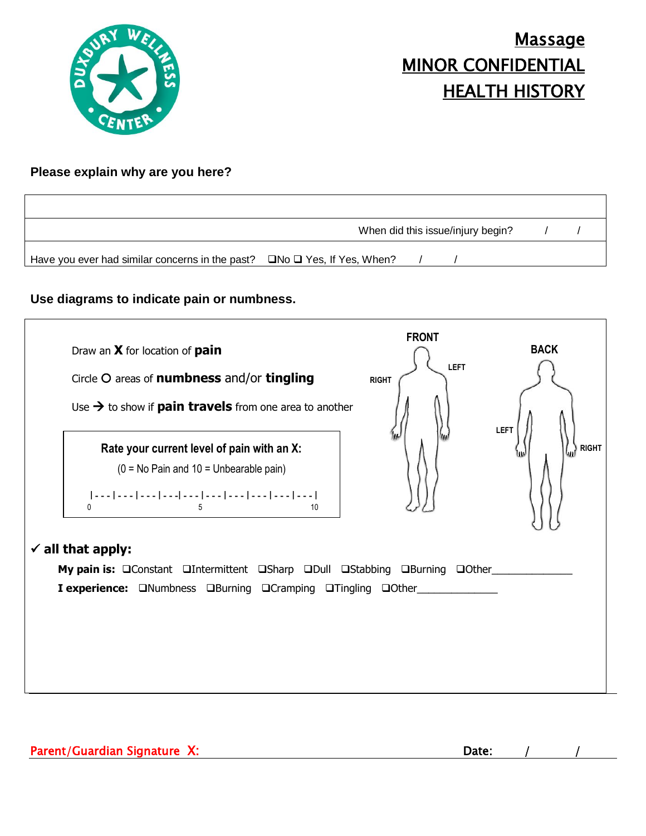

# Massage MINOR CONFIDENTIAL HEALTH HISTORY

### **Please explain why are you here?**

|                                                                                           | When did this issue/injury begin? |  |  |  |
|-------------------------------------------------------------------------------------------|-----------------------------------|--|--|--|
| Have you ever had similar concerns in the past? $\square$ No $\square$ Yes, If Yes, When? |                                   |  |  |  |

### **Use diagrams to indicate pain or numbness.**



| . .<br><br>- - |
|----------------|
|----------------|